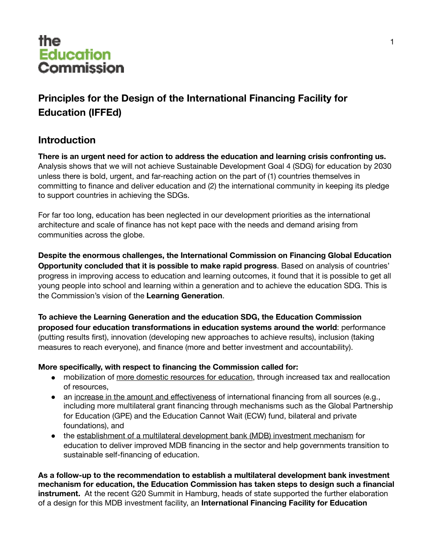

### **Principles for the Design of the International Financing Facility for Education (IFFEd)**

### **Introduction**

**There is an urgent need for action to address the education and learning crisis confronting us.**  Analysis shows that we will not achieve Sustainable Development Goal 4 (SDG) for education by 2030 unless there is bold, urgent, and far-reaching action on the part of (1) countries themselves in committing to finance and deliver education and (2) the international community in keeping its pledge to support countries in achieving the SDGs.

For far too long, education has been neglected in our development priorities as the international architecture and scale of finance has not kept pace with the needs and demand arising from communities across the globe.

**Despite the enormous challenges, the International Commission on Financing Global Education Opportunity concluded that it is possible to make rapid progress**. Based on analysis of countries' progress in improving access to education and learning outcomes, it found that it is possible to get all young people into school and learning within a generation and to achieve the education SDG. This is the Commission's vision of the **Learning Generation**.

**To achieve the Learning Generation and the education SDG, the Education Commission proposed four education transformations in education systems around the world**: performance (putting results first), innovation (developing new approaches to achieve results), inclusion (taking measures to reach everyone), and finance (more and better investment and accountability).

#### **More specifically, with respect to financing the Commission called for:**

- mobilization of more domestic resources for education, through increased tax and reallocation of resources,
- an increase in the amount and effectiveness of international financing from all sources (e.g., including more multilateral grant financing through mechanisms such as the Global Partnership for Education (GPE) and the Education Cannot Wait (ECW) fund, bilateral and private foundations), and
- the establishment of a multilateral development bank (MDB) investment mechanism for education to deliver improved MDB financing in the sector and help governments transition to sustainable self-financing of education.

**As a follow-up to the recommendation to establish a multilateral development bank investment mechanism for education, the Education Commission has taken steps to design such a financial instrument.** At the recent G20 Summit in Hamburg, heads of state supported the further elaboration of a design for this MDB investment facility, an **International Financing Facility for Education**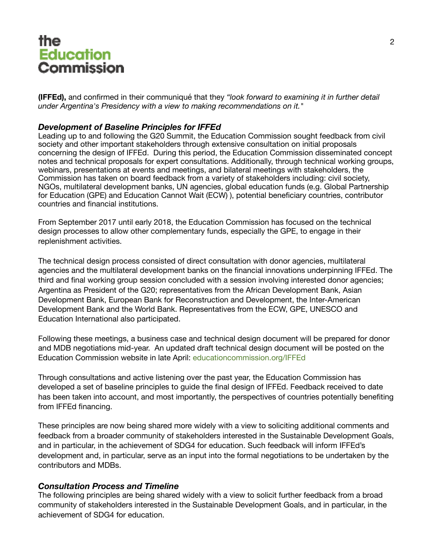**(IFFEd),** and confirmed in their communiqué that they *"look forward to examining it in further detail under Argentina's Presidency with a view to making recommendations on it."* 

#### *Development of Baseline Principles for IFFEd*

Leading up to and following the G20 Summit, the Education Commission sought feedback from civil society and other important stakeholders through extensive consultation on initial proposals concerning the design of IFFEd. During this period, the Education Commission disseminated concept notes and technical proposals for expert consultations. Additionally, through technical working groups, webinars, presentations at events and meetings, and bilateral meetings with stakeholders, the Commission has taken on board feedback from a variety of stakeholders including: civil society, NGOs, multilateral development banks, UN agencies, global education funds (e.g. Global Partnership for Education (GPE) and Education Cannot Wait (ECW) ), potential beneficiary countries, contributor countries and financial institutions.

From September 2017 until early 2018, the Education Commission has focused on the technical design processes to allow other complementary funds, especially the GPE, to engage in their replenishment activities.

The technical design process consisted of direct consultation with donor agencies, multilateral agencies and the multilateral development banks on the financial innovations underpinning IFFEd. The third and final working group session concluded with a session involving interested donor agencies: Argentina as President of the G20; representatives from the African Development Bank, Asian Development Bank, European Bank for Reconstruction and Development, the Inter-American Development Bank and the World Bank. Representatives from the ECW, GPE, UNESCO and Education International also participated.

Following these meetings, a business case and technical design document will be prepared for donor and MDB negotiations mid-year. An updated draft technical design document will be posted on the Education Commission website in late April: [educationcommission.org/IFFEd](http://educationcommission.org/IFFEd)

Through consultations and active listening over the past year, the Education Commission has developed a set of baseline principles to guide the final design of IFFEd. Feedback received to date has been taken into account, and most importantly, the perspectives of countries potentially benefiting from IFFEd financing.

These principles are now being shared more widely with a view to soliciting additional comments and feedback from a broader community of stakeholders interested in the Sustainable Development Goals, and in particular, in the achievement of SDG4 for education. Such feedback will inform IFFEd's development and, in particular, serve as an input into the formal negotiations to be undertaken by the contributors and MDBs.

#### *Consultation Process and Timeline*

The following principles are being shared widely with a view to solicit further feedback from a broad community of stakeholders interested in the Sustainable Development Goals, and in particular, in the achievement of SDG4 for education.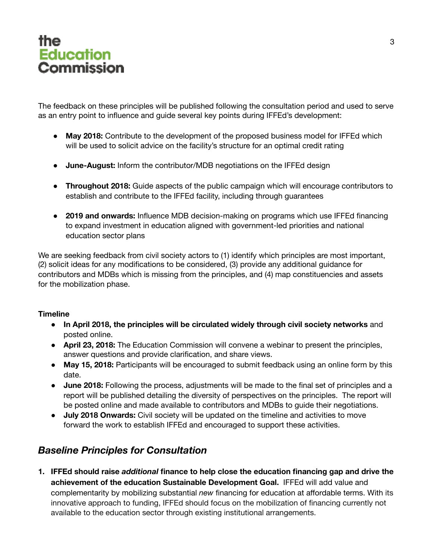# the ...c<br>Education Commission

The feedback on these principles will be published following the consultation period and used to serve as an entry point to influence and guide several key points during IFFEd's development:

- ! **May 2018:** Contribute to the development of the proposed business model for IFFEd which will be used to solicit advice on the facility's structure for an optimal credit rating
- ! **June-August:** Inform the contributor/MDB negotiations on the IFFEd design
- ! **Throughout 2018:** Guide aspects of the public campaign which will encourage contributors to establish and contribute to the IFFEd facility, including through guarantees
- ! **2019 and onwards:** Influence MDB decision-making on programs which use IFFEd financing to expand investment in education aligned with government-led priorities and national education sector plans

We are seeking feedback from civil society actors to (1) identify which principles are most important, (2) solicit ideas for any modifications to be considered, (3) provide any additional guidance for contributors and MDBs which is missing from the principles, and (4) map constituencies and assets for the mobilization phase.

#### **Timeline**

- ! **In April 2018, the principles will be circulated widely through civil society networks** and posted online.
- ! **April 23, 2018:** The Education Commission will convene a webinar to present the principles, answer questions and provide clarification, and share views.
- May 15, 2018: Participants will be encouraged to submit feedback using an online form by this date.
- ! **June 2018:** Following the process, adjustments will be made to the final set of principles and a report will be published detailing the diversity of perspectives on the principles. The report will be posted online and made available to contributors and MDBs to guide their negotiations.
- ! **July 2018 Onwards:** Civil society will be updated on the timeline and activities to move forward the work to establish IFFEd and encouraged to support these activities.

### *Baseline Principles for Consultation*

**1. IFFEd should raise** *additional* **finance to help close the education financing gap and drive the achievement of the education Sustainable Development Goal.** IFFEd will add value and complementarity by mobilizing substantial *new* financing for education at affordable terms. With its innovative approach to funding, IFFEd should focus on the mobilization of financing currently not available to the education sector through existing institutional arrangements.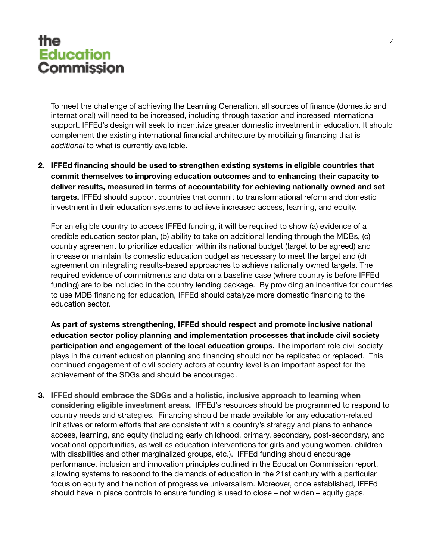To meet the challenge of achieving the Learning Generation, all sources of finance (domestic and international) will need to be increased, including through taxation and increased international support. IFFEd's design will seek to incentivize greater domestic investment in education. It should complement the existing international financial architecture by mobilizing financing that is *additional* to what is currently available.

**2. IFFEd financing should be used to strengthen existing systems in eligible countries that commit themselves to improving education outcomes and to enhancing their capacity to deliver results, measured in terms of accountability for achieving nationally owned and set targets.** IFFEd should support countries that commit to transformational reform and domestic investment in their education systems to achieve increased access, learning, and equity.

For an eligible country to access IFFEd funding, it will be required to show (a) evidence of a credible education sector plan, (b) ability to take on additional lending through the MDBs, (c) country agreement to prioritize education within its national budget (target to be agreed) and increase or maintain its domestic education budget as necessary to meet the target and (d) agreement on integrating results-based approaches to achieve nationally owned targets. The required evidence of commitments and data on a baseline case (where country is before IFFEd funding) are to be included in the country lending package. By providing an incentive for countries to use MDB financing for education, IFFEd should catalyze more domestic financing to the education sector.

**As part of systems strengthening, IFFEd should respect and promote inclusive national education sector policy planning and implementation processes that include civil society participation and engagement of the local education groups.** The important role civil society plays in the current education planning and financing should not be replicated or replaced. This continued engagement of civil society actors at country level is an important aspect for the achievement of the SDGs and should be encouraged.

**3. IFFEd should embrace the SDGs and a holistic, inclusive approach to learning when considering eligible investment areas.** IFFEd's resources should be programmed to respond to country needs and strategies. Financing should be made available for any education-related initiatives or reform efforts that are consistent with a country's strategy and plans to enhance access, learning, and equity (including early childhood, primary, secondary, post-secondary, and vocational opportunities, as well as education interventions for girls and young women, children with disabilities and other marginalized groups, etc.). IFFEd funding should encourage performance, inclusion and innovation principles outlined in the Education Commission report, allowing systems to respond to the demands of education in the 21st century with a particular focus on equity and the notion of progressive universalism. Moreover, once established, IFFEd should have in place controls to ensure funding is used to close – not widen – equity gaps.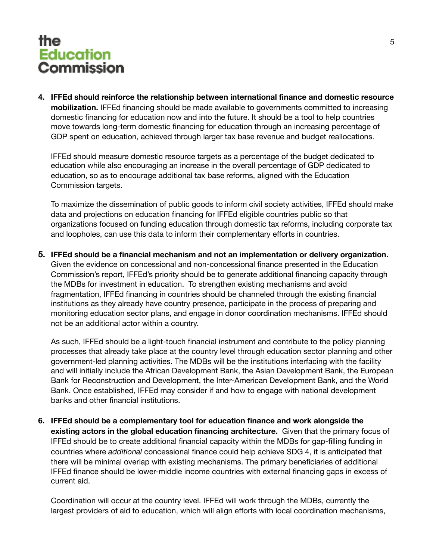**4. IFFEd should reinforce the relationship between international finance and domestic resource mobilization.** IFFEd financing should be made available to governments committed to increasing domestic financing for education now and into the future. It should be a tool to help countries move towards long-term domestic financing for education through an increasing percentage of GDP spent on education, achieved through larger tax base revenue and budget reallocations.

IFFEd should measure domestic resource targets as a percentage of the budget dedicated to education while also encouraging an increase in the overall percentage of GDP dedicated to education, so as to encourage additional tax base reforms, aligned with the Education Commission targets.

To maximize the dissemination of public goods to inform civil society activities, IFFEd should make data and projections on education financing for IFFEd eligible countries public so that organizations focused on funding education through domestic tax reforms, including corporate tax and loopholes, can use this data to inform their complementary efforts in countries.

**5. IFFEd should be a financial mechanism and not an implementation or delivery organization.**  Given the evidence on concessional and non-concessional finance presented in the Education Commission's report, IFFEd's priority should be to generate additional financing capacity through the MDBs for investment in education. To strengthen existing mechanisms and avoid fragmentation, IFFEd financing in countries should be channeled through the existing financial institutions as they already have country presence, participate in the process of preparing and monitoring education sector plans, and engage in donor coordination mechanisms. IFFEd should not be an additional actor within a country.

As such, IFFEd should be a light-touch financial instrument and contribute to the policy planning processes that already take place at the country level through education sector planning and other government-led planning activities. The MDBs will be the institutions interfacing with the facility and will initially include the African Development Bank, the Asian Development Bank, the European Bank for Reconstruction and Development, the Inter-American Development Bank, and the World Bank. Once established, IFFEd may consider if and how to engage with national development banks and other financial institutions.

**6. IFFEd should be a complementary tool for education finance and work alongside the existing actors in the global education financing architecture.** Given that the primary focus of IFFEd should be to create additional financial capacity within the MDBs for gap-filling funding in countries where *additional* concessional finance could help achieve SDG 4, it is anticipated that there will be minimal overlap with existing mechanisms. The primary beneficiaries of additional IFFEd finance should be lower-middle income countries with external financing gaps in excess of current aid.

Coordination will occur at the country level. IFFEd will work through the MDBs, currently the largest providers of aid to education, which will align efforts with local coordination mechanisms,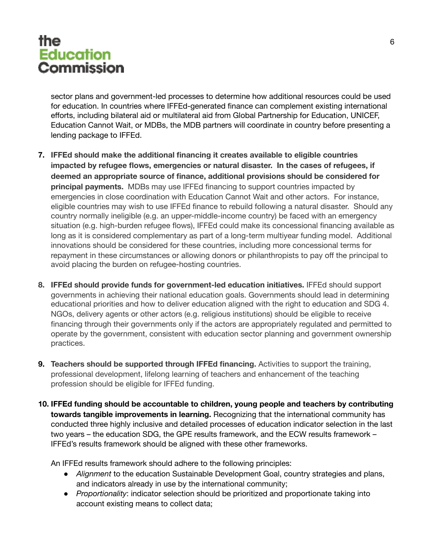sector plans and government-led processes to determine how additional resources could be used for education. In countries where IFFEd-generated finance can complement existing international efforts, including bilateral aid or multilateral aid from Global Partnership for Education, UNICEF, Education Cannot Wait, or MDBs, the MDB partners will coordinate in country before presenting a lending package to IFFEd.

- **7. IFFEd should make the additional financing it creates available to eligible countries impacted by refugee flows, emergencies or natural disaster. In the cases of refugees, if deemed an appropriate source of finance, additional provisions should be considered for principal payments.** MDBs may use IFFEd financing to support countries impacted by emergencies in close coordination with Education Cannot Wait and other actors. For instance, eligible countries may wish to use IFFEd finance to rebuild following a natural disaster. Should any country normally ineligible (e.g. an upper-middle-income country) be faced with an emergency situation (e.g. high-burden refugee flows), IFFEd could make its concessional financing available as long as it is considered complementary as part of a long-term multiyear funding model. Additional innovations should be considered for these countries, including more concessional terms for repayment in these circumstances or allowing donors or philanthropists to pay off the principal to avoid placing the burden on refugee-hosting countries.
- **8. IFFEd should provide funds for government-led education initiatives.** IFFEd should support governments in achieving their national education goals. Governments should lead in determining educational priorities and how to deliver education aligned with the right to education and SDG 4. NGOs, delivery agents or other actors (e.g. religious institutions) should be eligible to receive financing through their governments only if the actors are appropriately regulated and permitted to operate by the government, consistent with education sector planning and government ownership practices.
- **9. Teachers should be supported through IFFEd financing.** Activities to support the training, professional development, lifelong learning of teachers and enhancement of the teaching profession should be eligible for IFFEd funding.
- **10. IFFEd funding should be accountable to children, young people and teachers by contributing towards tangible improvements in learning.** Recognizing that the international community has conducted three highly inclusive and detailed processes of education indicator selection in the last two years – the education SDG, the GPE results framework, and the ECW results framework – IFFEd's results framework should be aligned with these other frameworks.

An IFFEd results framework should adhere to the following principles:

- ! *Alignment* to the education Sustainable Development Goal, country strategies and plans, and indicators already in use by the international community;
- ! *Proportionality*: indicator selection should be prioritized and proportionate taking into account existing means to collect data;